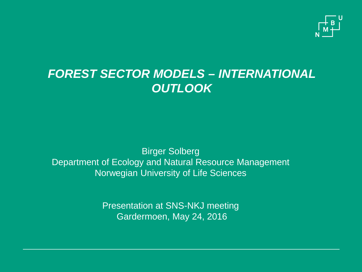

### *FOREST SECTOR MODELS – INTERNATIONAL OUTLOOK*

Birger Solberg Department of Ecology and Natural Resource Management Norwegian University of Life Sciences

> Presentation at SNS-NKJ meeting Gardermoen, May 24, 2016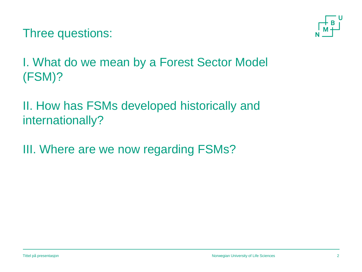Three questions:



I. What do we mean by a Forest Sector Model (FSM)?

II. How has FSMs developed historically and internationally?

III. Where are we now regarding FSMs?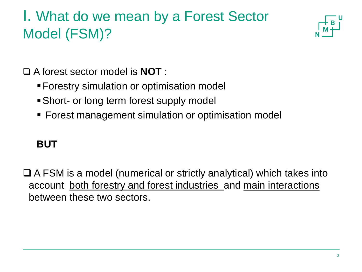# I. What do we mean by a Forest Sector Model (FSM)?



A forest sector model is **NOT** :

- Forestry simulation or optimisation model
- Short- or long term forest supply model
- **Forest management simulation or optimisation model**

#### **BUT**

 $\Box$  A FSM is a model (numerical or strictly analytical) which takes into account both forestry and forest industries and main interactions between these two sectors.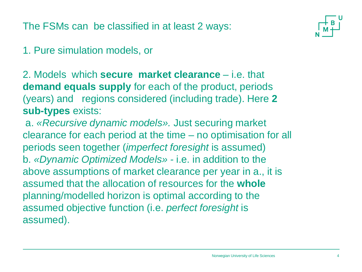The FSMs can be classified in at least 2 ways:

#### 1. Pure simulation models, or

2. Models which **secure market clearance** – i.e. that **demand equals supply** for each of the product, periods (years) and regions considered (including trade). Here **2 sub-types** exists:

a. *«Recursive dynamic models».* Just securing market clearance for each period at the time – no optimisation for all periods seen together (*imperfect foresight* is assumed) b. *«Dynamic Optimized Models» -* i.e. in addition to the above assumptions of market clearance per year in a., it is assumed that the allocation of resources for the **whole** planning/modelled horizon is optimal according to the assumed objective function (i.e. *perfect foresight* is assumed).

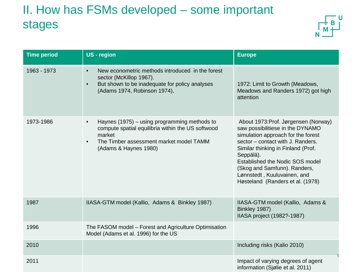### II. How has FSMs developed – some important stages



| <b>Time period</b> | <b>US</b> - region                                                                                                                                                                                        | <b>Europe</b>                                                                                                                                                                                                                                                                                                                                |
|--------------------|-----------------------------------------------------------------------------------------------------------------------------------------------------------------------------------------------------------|----------------------------------------------------------------------------------------------------------------------------------------------------------------------------------------------------------------------------------------------------------------------------------------------------------------------------------------------|
| 1963 - 1973        | New econometric methods introduced in the forest<br>$\bullet$<br>sector (McKillop 1967).<br>But shown to be inadequate for policy analyses<br>$\bullet$<br>(Adams 1974, Robinson 1974),                   | 1972: Limit to Growth (Meadows,<br>Meadows and Randers 1972) got high<br>attention                                                                                                                                                                                                                                                           |
| 1973-1986          | Haynes (1975) – using programming methods to<br>$\bullet$<br>compute spatial equilibria within the US softwood<br>market<br>The Timber assessment market model TAMM<br>$\bullet$<br>(Adams & Haynes 1980) | About 1973: Prof. Jørgensen (Norway)<br>saw possibilitiese in the DYNAMO<br>simulation approach for the forest<br>sector – contact with J. Randers.<br>Similar thinking in Finland (Prof.<br>Seppälä).<br>Established the Nodic SOS model<br>(Skog and Samfunn). Randers,<br>Lønnstedt, Kuuluvainen, and<br>Høsteland (Randers et al. (1978) |
| 1987               | IIASA-GTM model (Kallio, Adams & Binkley 1987)                                                                                                                                                            | IIASA-GTM model (Kallio, Adams &<br>Binkley 1987)<br>IIASA project (1982?-1987)                                                                                                                                                                                                                                                              |
| 1996               | The FASOM model - Forest and Agriculture Optimisation<br>Model (Adams et al. 1996) for the US                                                                                                             |                                                                                                                                                                                                                                                                                                                                              |
| 2010               |                                                                                                                                                                                                           | Including risks (Kalio 2010)<br>5                                                                                                                                                                                                                                                                                                            |
| 2011               |                                                                                                                                                                                                           | Impact of varying degrees of agent<br>information (Sjølie et al. 2011)                                                                                                                                                                                                                                                                       |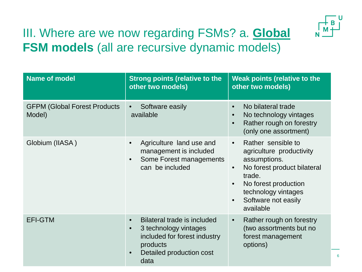

6

### III. Where are we now regarding FSMs? a. **Global FSM models** (all are recursive dynamic models)

| <b>Name of model</b>                           | <b>Strong points (relative to the</b><br>other two models)                                                                                                     | <b>Weak points (relative to the</b><br>other two models)                                                                                                                                                                          |
|------------------------------------------------|----------------------------------------------------------------------------------------------------------------------------------------------------------------|-----------------------------------------------------------------------------------------------------------------------------------------------------------------------------------------------------------------------------------|
| <b>GFPM (Global Forest Products)</b><br>Model) | Software easily<br>$\bullet$<br>available                                                                                                                      | No bilateral trade<br>$\bullet$<br>No technology vintages<br>$\bullet$<br>Rather rough on forestry<br>$\bullet$<br>(only one assortment)                                                                                          |
| Globium (IIASA)                                | Agriculture land use and<br>management is included<br>Some Forest managements<br>$\bullet$<br>can be included                                                  | Rather sensible to<br>$\bullet$<br>agriculture productivity<br>assumptions.<br>No forest product bilateral<br>$\bullet$<br>trade.<br>No forest production<br>technology vintages<br>Software not easily<br>$\bullet$<br>available |
| <b>EFI-GTM</b>                                 | Bilateral trade is included<br>$\bullet$<br>3 technology vintages<br>$\bullet$<br>included for forest industry<br>products<br>Detailed production cost<br>data | Rather rough on forestry<br>$\bullet$<br>(two assortments but no<br>forest management<br>options)                                                                                                                                 |